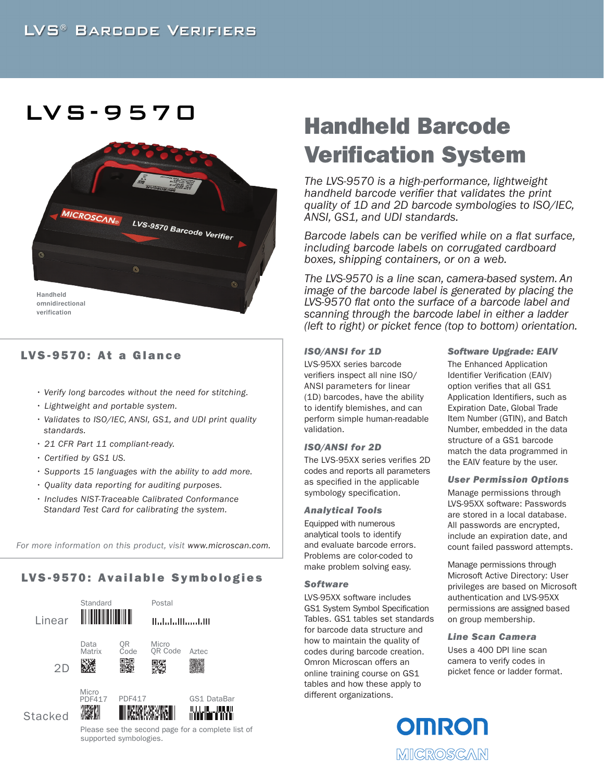## LVS-9570



## LVS-9570: At a Glance

- *Verify long barcodes without the need for stitching.*
- *Lightweight and portable system.*
- *Validates to ISO/IEC, ANSI, GS1, and UDI print quality standards.*
- *21 CFR Part 11 compliant-ready.*
- *Certified by GS1 US.*
- *Supports 15 languages with the ability to add more.*
- *Quality data reporting for auditing purposes.*
- *Includes NIST-Traceable Calibrated Conformance Standard Test Card for calibrating the system.*

*For more information on this product, visit www.microscan.com.*

## LVS-9570: Available Symbologies



# Handheld Barcode Verification System

*The LVS-9570 is a high-performance, lightweight handheld barcode verifier that validates the print quality of 1D and 2D barcode symbologies to ISO/IEC, ANSI, GS1, and UDI standards.* 

*Barcode labels can be verified while on a flat surface, including barcode labels on corrugated cardboard boxes, shipping containers, or on a web.* 

*The LVS-9570 is a line scan, camera-based system. An image of the barcode label is generated by placing the LVS-9570 flat onto the surface of a barcode label and scanning through the barcode label in either a ladder (left to right) or picket fence (top to bottom) orientation.*

## *ISO/ANSI for 1D*

LVS-95XX series barcode verifiers inspect all nine ISO/ ANSI parameters for linear (1D) barcodes, have the ability to identify blemishes, and can perform simple human-readable validation.

## *ISO/ANSI for 2D*

The LVS-95XX series verifies 2D codes and reports all parameters as specified in the applicable symbology specification.

## *Analytical Tools*

Equipped with numerous analytical tools to identify and evaluate barcode errors. Problems are color-coded to make problem solving easy.

## *Software*

LVS-95XX software includes GS1 System Symbol Specification Tables. GS1 tables set standards for barcode data structure and how to maintain the quality of codes during barcode creation. Omron Microscan offers an online training course on GS1 tables and how these apply to different organizations.

## *Software Upgrade: EAIV*

The Enhanced Application Identifier Verification (EAIV) option verifies that all GS1 Application Identifiers, such as Expiration Date, Global Trade Item Number (GTIN), and Batch Number, embedded in the data structure of a GS1 barcode match the data programmed in the EAIV feature by the user.

## *User Permission Options*

Manage permissions through LVS-95XX software: Passwords are stored in a local database. All passwords are encrypted, include an expiration date, and count failed password attempts.

Manage permissions through Microsoft Active Directory: User privileges are based on Microsoft authentication and LVS-95XX permissions are assigned based on group membership.

*Line Scan Camera*

Uses a 400 DPI line scan camera to verify codes in picket fence or ladder format.



supported symbologies.